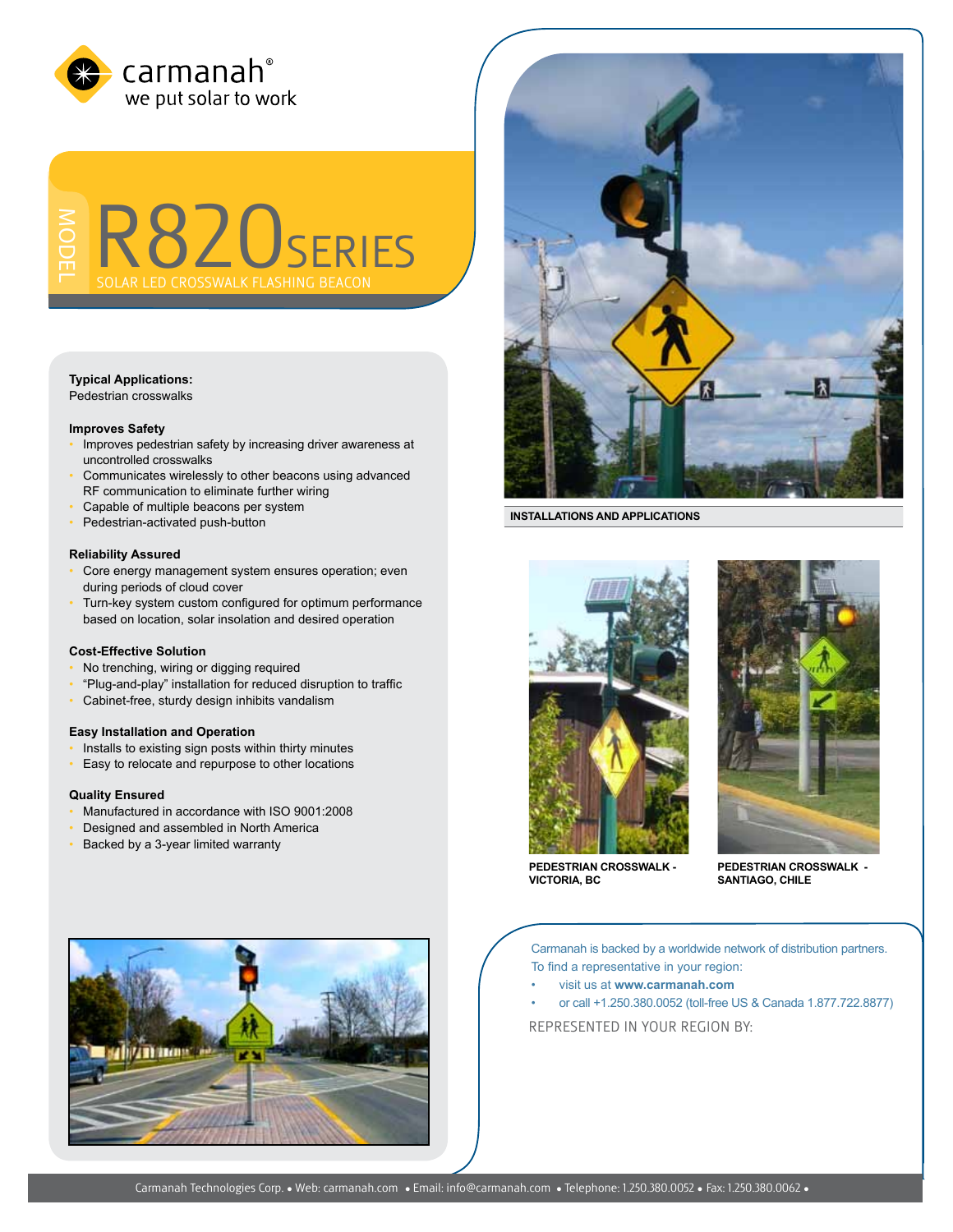

ModeL R820series D CROSSWALK FLASHING BE

# **Typical Applications:**

Pedestrian crosswalks

#### **Improves Safety**

- Improves pedestrian safety by increasing driver awareness at uncontrolled crosswalks
- Communicates wirelessly to other beacons using advanced RF communication to eliminate further wiring
- Capable of multiple beacons per system
- Pedestrian-activated push-button

## **Reliability Assured**

- Core energy management system ensures operation; even during periods of cloud cover
- Turn-key system custom configured for optimum performance based on location, solar insolation and desired operation

### **Cost-Effective Solution**

- No trenching, wiring or digging required
- "Plug-and-play" installation for reduced disruption to traffic
- Cabinet-free, sturdy design inhibits vandalism

# **Easy Installation and Operation**

- Installs to existing sign posts within thirty minutes
- Easy to relocate and repurpose to other locations

## **Quality Ensured**

- Manufactured in accordance with ISO 9001:2008
- Designed and assembled in North America
- Backed by a 3-year limited warranty



**INSTALLATIONS AND APPLICATIONS** 





**PEDESTRIAN CROSSWALK - VICTORIA, BC**

**PEDESTRIAN CROSSWALK - SANTIAGO, CHILE**

Carmanah is backed by a worldwide network of distribution partners. To find a representative in your region:

- visit us at **www.carmanah.com**
- or call +1.250.380.0052 (toll-free US & Canada 1.877.722.8877)

REPRESENTED in your region BY: